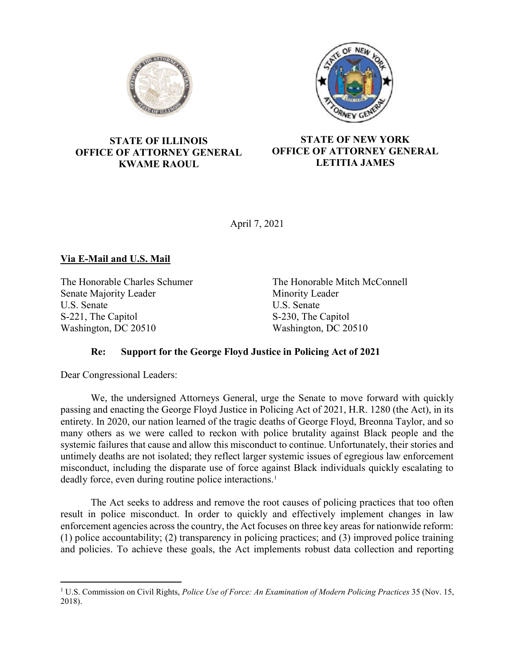



### STATE OF ILLINOIS OFFICE OF ATTORNEY GENERAL KWAME RAOUL

# STATE OF NEW YORK OFFICE OF ATTORNEY GENERAL LETITIA JAMES

April 7, 2021

# Via E-Mail and U.S. Mail

The Honorable Charles Schumer Senate Majority Leader U.S. Senate S-221, The Capitol Washington, DC 20510

The Honorable Mitch McConnell Minority Leader U.S. Senate S-230, The Capitol Washington, DC 20510

# Re: Support for the George Floyd Justice in Policing Act of 2021

Dear Congressional Leaders:

 $\overline{a}$ 

We, the undersigned Attorneys General, urge the Senate to move forward with quickly passing and enacting the George Floyd Justice in Policing Act of 2021, H.R. 1280 (the Act), in its entirety. In 2020, our nation learned of the tragic deaths of George Floyd, Breonna Taylor, and so many others as we were called to reckon with police brutality against Black people and the systemic failures that cause and allow this misconduct to continue. Unfortunately, their stories and untimely deaths are not isolated; they reflect larger systemic issues of egregious law enforcement misconduct, including the disparate use of force against Black individuals quickly escalating to deadly force, even during routine police interactions.<sup>1</sup>

The Act seeks to address and remove the root causes of policing practices that too often result in police misconduct. In order to quickly and effectively implement changes in law enforcement agencies across the country, the Act focuses on three key areas for nationwide reform: (1) police accountability; (2) transparency in policing practices; and (3) improved police training and policies. To achieve these goals, the Act implements robust data collection and reporting

<sup>&</sup>lt;sup>1</sup> U.S. Commission on Civil Rights, *Police Use of Force: An Examination of Modern Policing Practices* 35 (Nov. 15, 2018).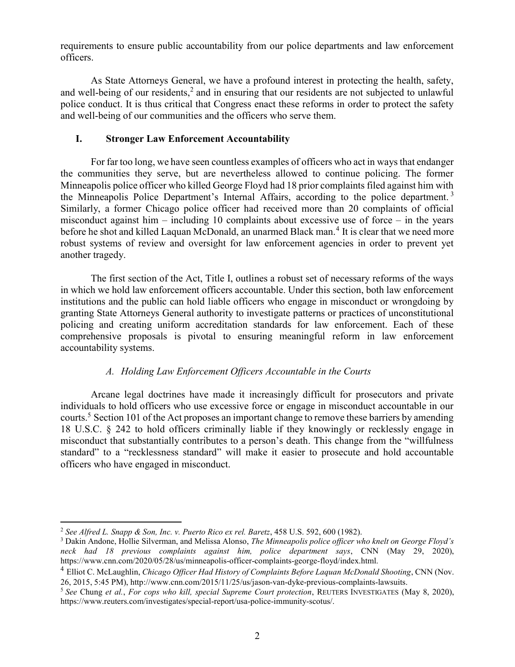requirements to ensure public accountability from our police departments and law enforcement officers.

As State Attorneys General, we have a profound interest in protecting the health, safety, and well-being of our residents, $2$  and in ensuring that our residents are not subjected to unlawful police conduct. It is thus critical that Congress enact these reforms in order to protect the safety and well-being of our communities and the officers who serve them.

### I. Stronger Law Enforcement Accountability

For far too long, we have seen countless examples of officers who act in ways that endanger the communities they serve, but are nevertheless allowed to continue policing. The former Minneapolis police officer who killed George Floyd had 18 prior complaints filed against him with the Minneapolis Police Department's Internal Affairs, according to the police department. <sup>3</sup> Similarly, a former Chicago police officer had received more than 20 complaints of official misconduct against him – including 10 complaints about excessive use of force – in the years before he shot and killed Laquan McDonald, an unarmed Black man.<sup>4</sup> It is clear that we need more robust systems of review and oversight for law enforcement agencies in order to prevent yet another tragedy.

The first section of the Act, Title I, outlines a robust set of necessary reforms of the ways in which we hold law enforcement officers accountable. Under this section, both law enforcement institutions and the public can hold liable officers who engage in misconduct or wrongdoing by granting State Attorneys General authority to investigate patterns or practices of unconstitutional policing and creating uniform accreditation standards for law enforcement. Each of these comprehensive proposals is pivotal to ensuring meaningful reform in law enforcement accountability systems.

## A. Holding Law Enforcement Officers Accountable in the Courts

Arcane legal doctrines have made it increasingly difficult for prosecutors and private individuals to hold officers who use excessive force or engage in misconduct accountable in our courts.<sup>5</sup> Section 101 of the Act proposes an important change to remove these barriers by amending 18 U.S.C. § 242 to hold officers criminally liable if they knowingly or recklessly engage in misconduct that substantially contributes to a person's death. This change from the "willfulness standard" to a "recklessness standard" will make it easier to prosecute and hold accountable officers who have engaged in misconduct.

 $\overline{a}$ <sup>2</sup> See Alfred L. Snapp & Son, Inc. v. Puerto Rico ex rel. Baretz,  $458$  U.S.  $592$ ,  $600$  (1982).

<sup>&</sup>lt;sup>3</sup> Dakin Andone, Hollie Silverman, and Melissa Alonso, *The Minneapolis police officer who knelt on George Floyd's* neck had 18 previous complaints against him, police department says, CNN (May 29, 2020), https://www.cnn.com/2020/05/28/us/minneapolis-officer-complaints-george-floyd/index.html.

 $4$  Elliot C. McLaughlin, *Chicago Officer Had History of Complaints Before Laquan McDonald Shooting*, CNN (Nov. 26, 2015, 5:45 PM), http://www.cnn.com/2015/11/25/us/jason-van-dyke-previous-complaints-lawsuits.

<sup>&</sup>lt;sup>5</sup> See Chung et al., For cops who kill, special Supreme Court protection, REUTERS INVESTIGATES (May 8, 2020), https://www.reuters.com/investigates/special-report/usa-police-immunity-scotus/.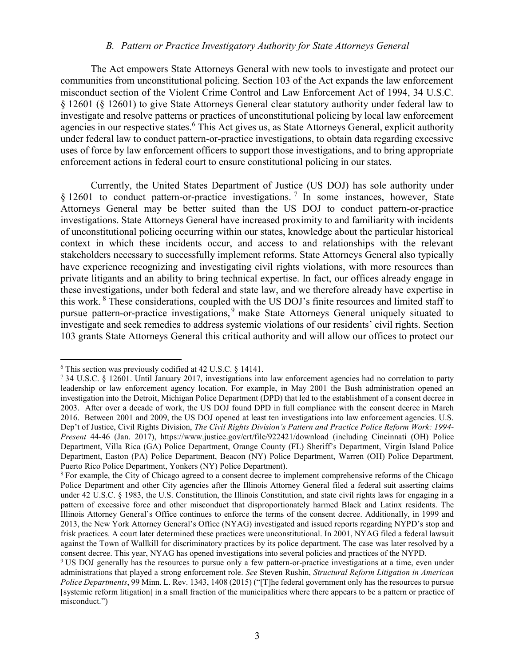#### B. Pattern or Practice Investigatory Authority for State Attorneys General

The Act empowers State Attorneys General with new tools to investigate and protect our communities from unconstitutional policing. Section 103 of the Act expands the law enforcement misconduct section of the Violent Crime Control and Law Enforcement Act of 1994, 34 U.S.C. § 12601 (§ 12601) to give State Attorneys General clear statutory authority under federal law to investigate and resolve patterns or practices of unconstitutional policing by local law enforcement agencies in our respective states.<sup>6</sup> This Act gives us, as State Attorneys General, explicit authority under federal law to conduct pattern-or-practice investigations, to obtain data regarding excessive uses of force by law enforcement officers to support those investigations, and to bring appropriate enforcement actions in federal court to ensure constitutional policing in our states.

Currently, the United States Department of Justice (US DOJ) has sole authority under  $§$  12601 to conduct pattern-or-practice investigations.<sup>7</sup> In some instances, however, State Attorneys General may be better suited than the US DOJ to conduct pattern-or-practice investigations. State Attorneys General have increased proximity to and familiarity with incidents of unconstitutional policing occurring within our states, knowledge about the particular historical context in which these incidents occur, and access to and relationships with the relevant stakeholders necessary to successfully implement reforms. State Attorneys General also typically have experience recognizing and investigating civil rights violations, with more resources than private litigants and an ability to bring technical expertise. In fact, our offices already engage in these investigations, under both federal and state law, and we therefore already have expertise in this work.<sup>8</sup> These considerations, coupled with the US DOJ's finite resources and limited staff to pursue pattern-or-practice investigations, <sup>9</sup> make State Attorneys General uniquely situated to investigate and seek remedies to address systemic violations of our residents' civil rights. Section 103 grants State Attorneys General this critical authority and will allow our offices to protect our

<sup>6</sup> This section was previously codified at 42 U.S.C. § 14141.

<sup>7</sup> 34 U.S.C. § 12601. Until January 2017, investigations into law enforcement agencies had no correlation to party leadership or law enforcement agency location. For example, in May 2001 the Bush administration opened an investigation into the Detroit, Michigan Police Department (DPD) that led to the establishment of a consent decree in 2003. After over a decade of work, the US DOJ found DPD in full compliance with the consent decree in March 2016. Between 2001 and 2009, the US DOJ opened at least ten investigations into law enforcement agencies. U.S. Dep't of Justice, Civil Rights Division, The Civil Rights Division's Pattern and Practice Police Reform Work: 1994- Present 44-46 (Jan. 2017), https://www.justice.gov/crt/file/922421/download (including Cincinnati (OH) Police Department, Villa Rica (GA) Police Department, Orange County (FL) Sheriff's Department, Virgin Island Police Department, Easton (PA) Police Department, Beacon (NY) Police Department, Warren (OH) Police Department, Puerto Rico Police Department, Yonkers (NY) Police Department).

<sup>&</sup>lt;sup>8</sup> For example, the City of Chicago agreed to a consent decree to implement comprehensive reforms of the Chicago Police Department and other City agencies after the Illinois Attorney General filed a federal suit asserting claims under 42 U.S.C. § 1983, the U.S. Constitution, the Illinois Constitution, and state civil rights laws for engaging in a pattern of excessive force and other misconduct that disproportionately harmed Black and Latinx residents. The Illinois Attorney General's Office continues to enforce the terms of the consent decree. Additionally, in 1999 and 2013, the New York Attorney General's Office (NYAG) investigated and issued reports regarding NYPD's stop and frisk practices. A court later determined these practices were unconstitutional. In 2001, NYAG filed a federal lawsuit against the Town of Wallkill for discriminatory practices by its police department. The case was later resolved by a consent decree. This year, NYAG has opened investigations into several policies and practices of the NYPD.

<sup>&</sup>lt;sup>9</sup> US DOJ generally has the resources to pursue only a few pattern-or-practice investigations at a time, even under administrations that played a strong enforcement role. See Steven Rushin, Structural Reform Litigation in American Police Departments, 99 Minn. L. Rev. 1343, 1408 (2015) ("[T]he federal government only has the resources to pursue [systemic reform litigation] in a small fraction of the municipalities where there appears to be a pattern or practice of misconduct.")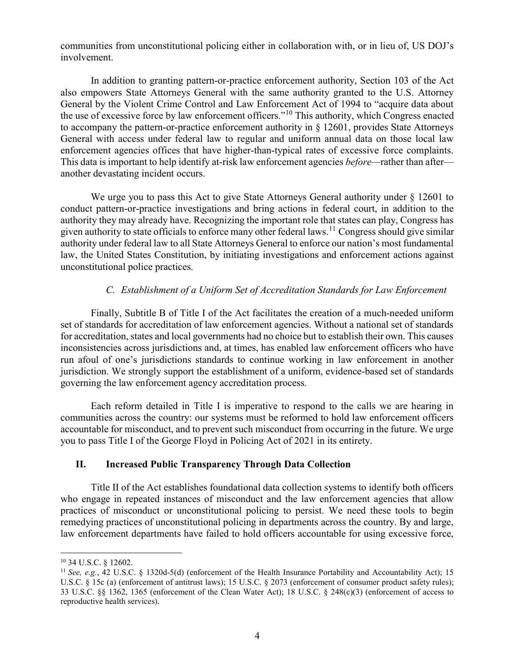communities from unconstitutional policing either in collaboration with, or in lieu of, US DOJ's involvement.

In addition to granting pattern-or-practice enforcement authority, Section 103 of the Act also empowers State Attorneys General with the same authority granted to the U.S. Attorney General by the Violent Crime Control and Law Enforcement Act of 1994 to "acquire data about the use of excessive force by law enforcement officers."<sup>10</sup> This authority, which Congress enacted to accompany the pattern-or-practice enforcement authority in § 12601, provides State Attorneys General with access under federal law to regular and uniform annual data on those local law enforcement agencies offices that have higher-than-typical rates of excessive force complaints. This data is important to help identify at-risk law enforcement agencies *before*—rather than after another devastating incident occurs.

We urge you to pass this Act to give State Attorneys General authority under § 12601 to conduct pattern-or-practice investigations and bring actions in federal court, in addition to the authority they may already have. Recognizing the important role that states can play, Congress has given authority to state officials to enforce many other federal laws.<sup>11</sup> Congress should give similar authority under federal law to all State Attorneys General to enforce our nation's most fundamental law, the United States Constitution, by initiating investigations and enforcement actions against unconstitutional police practices.

## C. Establishment of a Uniform Set of Accreditation Standards for Law Enforcement

Finally, Subtitle B of Title I of the Act facilitates the creation of a much-needed uniform set of standards for accreditation of law enforcement agencies. Without a national set of standards for accreditation, states and local governments had no choice but to establish their own. This causes inconsistencies across jurisdictions and, at times, has enabled law enforcement officers who have run afoul of one's jurisdictions standards to continue working in law enforcement in another jurisdiction. We strongly support the establishment of a uniform, evidence-based set of standards governing the law enforcement agency accreditation process.

Each reform detailed in Title I is imperative to respond to the calls we are hearing in communities across the country: our systems must be reformed to hold law enforcement officers accountable for misconduct, and to prevent such misconduct from occurring in the future. We urge you to pass Title I of the George Floyd in Policing Act of 2021 in its entirety.

#### II. Increased Public Transparency Through Data Collection

Title II of the Act establishes foundational data collection systems to identify both officers who engage in repeated instances of misconduct and the law enforcement agencies that allow practices of misconduct or unconstitutional policing to persist. We need these tools to begin remedying practices of unconstitutional policing in departments across the country. By and large, law enforcement departments have failed to hold officers accountable for using excessive force,

<sup>10</sup> 34 U.S.C. § 12602.

<sup>&</sup>lt;sup>11</sup> See, e.g., 42 U.S.C. § 1320d-5(d) (enforcement of the Health Insurance Portability and Accountability Act); 15 U.S.C. § 15c (a) (enforcement of antitrust laws); 15 U.S.C. § 2073 (enforcement of consumer product safety rules); 33 U.S.C. §§ 1362, 1365 (enforcement of the Clean Water Act); 18 U.S.C. § 248(c)(3) (enforcement of access to reproductive health services).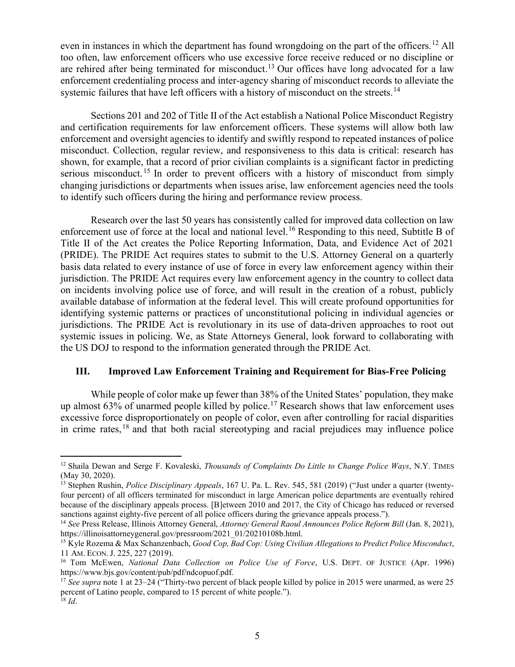even in instances in which the department has found wrongdoing on the part of the officers.<sup>12</sup> All too often, law enforcement officers who use excessive force receive reduced or no discipline or are rehired after being terminated for misconduct.<sup>13</sup> Our offices have long advocated for a law enforcement credentialing process and inter-agency sharing of misconduct records to alleviate the systemic failures that have left officers with a history of misconduct on the streets.<sup>14</sup>

Sections 201 and 202 of Title II of the Act establish a National Police Misconduct Registry and certification requirements for law enforcement officers. These systems will allow both law enforcement and oversight agencies to identify and swiftly respond to repeated instances of police misconduct. Collection, regular review, and responsiveness to this data is critical: research has shown, for example, that a record of prior civilian complaints is a significant factor in predicting serious misconduct.<sup>15</sup> In order to prevent officers with a history of misconduct from simply changing jurisdictions or departments when issues arise, law enforcement agencies need the tools to identify such officers during the hiring and performance review process.

Research over the last 50 years has consistently called for improved data collection on law enforcement use of force at the local and national level.<sup>16</sup> Responding to this need, Subtitle B of Title II of the Act creates the Police Reporting Information, Data, and Evidence Act of 2021 (PRIDE). The PRIDE Act requires states to submit to the U.S. Attorney General on a quarterly basis data related to every instance of use of force in every law enforcement agency within their jurisdiction. The PRIDE Act requires every law enforcement agency in the country to collect data on incidents involving police use of force, and will result in the creation of a robust, publicly available database of information at the federal level. This will create profound opportunities for identifying systemic patterns or practices of unconstitutional policing in individual agencies or jurisdictions. The PRIDE Act is revolutionary in its use of data-driven approaches to root out systemic issues in policing. We, as State Attorneys General, look forward to collaborating with the US DOJ to respond to the information generated through the PRIDE Act.

#### III. Improved Law Enforcement Training and Requirement for Bias-Free Policing

While people of color make up fewer than 38% of the United States' population, they make up almost  $63\%$  of unarmed people killed by police.<sup>17</sup> Research shows that law enforcement uses excessive force disproportionately on people of color, even after controlling for racial disparities in crime rates, <sup>18</sup> and that both racial stereotyping and racial prejudices may influence police

<sup>&</sup>lt;sup>12</sup> Shaila Dewan and Serge F. Kovaleski, *Thousands of Complaints Do Little to Change Police Ways*, N.Y. TIMES (May 30, 2020).

<sup>&</sup>lt;sup>13</sup> Stephen Rushin, *Police Disciplinary Appeals*, 167 U. Pa. L. Rev. 545, 581 (2019) ("Just under a quarter (twentyfour percent) of all officers terminated for misconduct in large American police departments are eventually rehired because of the disciplinary appeals process. [B]etween 2010 and 2017, the City of Chicago has reduced or reversed sanctions against eighty-five percent of all police officers during the grievance appeals process.").

<sup>&</sup>lt;sup>14</sup> See Press Release, Illinois Attorney General, Attorney General Raoul Announces Police Reform Bill (Jan. 8, 2021), https://illinoisattorneygeneral.gov/pressroom/2021\_01/20210108b.html.

<sup>&</sup>lt;sup>15</sup> Kyle Rozema & Max Schanzenbach, Good Cop, Bad Cop: Using Civilian Allegations to Predict Police Misconduct, 11 AM. ECON. J. 225, 227 (2019).

<sup>&</sup>lt;sup>16</sup> Tom McEwen, National Data Collection on Police Use of Force, U.S. DEPT. OF JUSTICE (Apr. 1996) https://www.bjs.gov/content/pub/pdf/ndcopuof.pdf.

<sup>&</sup>lt;sup>17</sup> See supra note 1 at 23–24 ("Thirty-two percent of black people killed by police in 2015 were unarmed, as were 25 percent of Latino people, compared to 15 percent of white people.").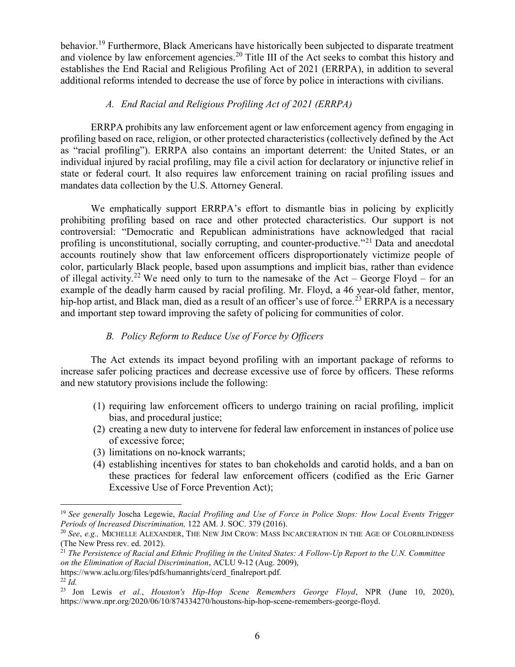behavior.<sup>19</sup> Furthermore, Black Americans have historically been subjected to disparate treatment and violence by law enforcement agencies.<sup>20</sup> Title III of the Act seeks to combat this history and establishes the End Racial and Religious Profiling Act of 2021 (ERRPA), in addition to several additional reforms intended to decrease the use of force by police in interactions with civilians.

### A. End Racial and Religious Profiling Act of 2021 (ERRPA)

ERRPA prohibits any law enforcement agent or law enforcement agency from engaging in profiling based on race, religion, or other protected characteristics (collectively defined by the Act as "racial profiling"). ERRPA also contains an important deterrent: the United States, or an individual injured by racial profiling, may file a civil action for declaratory or injunctive relief in state or federal court. It also requires law enforcement training on racial profiling issues and mandates data collection by the U.S. Attorney General.

We emphatically support ERRPA's effort to dismantle bias in policing by explicitly prohibiting profiling based on race and other protected characteristics. Our support is not controversial: "Democratic and Republican administrations have acknowledged that racial profiling is unconstitutional, socially corrupting, and counter-productive."<sup>21</sup> Data and anecdotal accounts routinely show that law enforcement officers disproportionately victimize people of color, particularly Black people, based upon assumptions and implicit bias, rather than evidence of illegal activity.<sup>22</sup> We need only to turn to the namesake of the Act – George Floyd – for an example of the deadly harm caused by racial profiling. Mr. Floyd, a 46 year-old father, mentor, hip-hop artist, and Black man, died as a result of an officer's use of force.<sup>23</sup> ERRPA is a necessary and important step toward improving the safety of policing for communities of color.

## B. Policy Reform to Reduce Use of Force by Officers

The Act extends its impact beyond profiling with an important package of reforms to increase safer policing practices and decrease excessive use of force by officers. These reforms and new statutory provisions include the following:

- (1) requiring law enforcement officers to undergo training on racial profiling, implicit bias, and procedural justice;
- (2) creating a new duty to intervene for federal law enforcement in instances of police use of excessive force;
- (3) limitations on no-knock warrants;
- (4) establishing incentives for states to ban chokeholds and carotid holds, and a ban on these practices for federal law enforcement officers (codified as the Eric Garner Excessive Use of Force Prevention Act);

<sup>&</sup>lt;sup>19</sup> See generally Joscha Legewie, Racial Profiling and Use of Force in Police Stops: How Local Events Trigger Periods of Increased Discrimination, 122 AM. J. SOC. 379 (2016).

 $20$  See, e.g., MICHELLE ALEXANDER, THE NEW JIM CROW: MASS INCARCERATION IN THE AGE OF COLORBLINDNESS (The New Press rev. ed. 2012).

 $21$  The Persistence of Racial and Ethnic Profiling in the United States: A Follow-Up Report to the U.N. Committee on the Elimination of Racial Discrimination, ACLU 9-12 (Aug. 2009),

https://www.aclu.org/files/pdfs/humanrights/cerd\_finalreport.pdf.

<sup>22</sup> Id.

<sup>&</sup>lt;sup>23</sup> Jon Lewis et al., Houston's Hip-Hop Scene Remembers George Floyd, NPR (June 10, 2020), https://www.npr.org/2020/06/10/874334270/houstons-hip-hop-scene-remembers-george-floyd.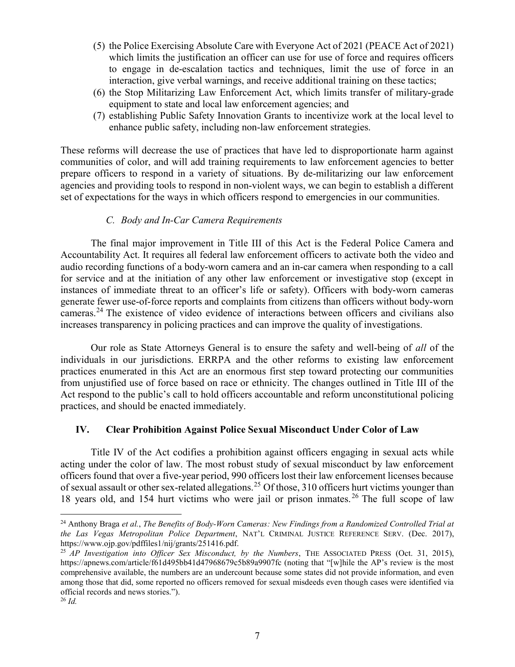- (5) the Police Exercising Absolute Care with Everyone Act of 2021 (PEACE Act of 2021) which limits the justification an officer can use for use of force and requires officers to engage in de-escalation tactics and techniques, limit the use of force in an interaction, give verbal warnings, and receive additional training on these tactics;
- (6) the Stop Militarizing Law Enforcement Act, which limits transfer of military-grade equipment to state and local law enforcement agencies; and
- (7) establishing Public Safety Innovation Grants to incentivize work at the local level to enhance public safety, including non-law enforcement strategies.

These reforms will decrease the use of practices that have led to disproportionate harm against communities of color, and will add training requirements to law enforcement agencies to better prepare officers to respond in a variety of situations. By de-militarizing our law enforcement agencies and providing tools to respond in non-violent ways, we can begin to establish a different set of expectations for the ways in which officers respond to emergencies in our communities.

### C. Body and In-Car Camera Requirements

The final major improvement in Title III of this Act is the Federal Police Camera and Accountability Act. It requires all federal law enforcement officers to activate both the video and audio recording functions of a body-worn camera and an in-car camera when responding to a call for service and at the initiation of any other law enforcement or investigative stop (except in instances of immediate threat to an officer's life or safety). Officers with body-worn cameras generate fewer use-of-force reports and complaints from citizens than officers without body-worn cameras.<sup>24</sup> The existence of video evidence of interactions between officers and civilians also increases transparency in policing practices and can improve the quality of investigations.

Our role as State Attorneys General is to ensure the safety and well-being of all of the individuals in our jurisdictions. ERRPA and the other reforms to existing law enforcement practices enumerated in this Act are an enormous first step toward protecting our communities from unjustified use of force based on race or ethnicity. The changes outlined in Title III of the Act respond to the public's call to hold officers accountable and reform unconstitutional policing practices, and should be enacted immediately.

## IV. Clear Prohibition Against Police Sexual Misconduct Under Color of Law

Title IV of the Act codifies a prohibition against officers engaging in sexual acts while acting under the color of law. The most robust study of sexual misconduct by law enforcement officers found that over a five-year period, 990 officers lost their law enforcement licenses because of sexual assault or other sex-related allegations.<sup>25</sup> Of those, 310 officers hurt victims younger than 18 years old, and 154 hurt victims who were jail or prison inmates. <sup>26</sup> The full scope of law

<sup>&</sup>lt;sup>24</sup> Anthony Braga et al., The Benefits of Body-Worn Cameras: New Findings from a Randomized Controlled Trial at the Las Vegas Metropolitan Police Department, NAT'L CRIMINAL JUSTICE REFERENCE SERV. (Dec. 2017), https://www.ojp.gov/pdffiles1/nij/grants/251416.pdf.

 $^{25}$  AP Investigation into Officer Sex Misconduct, by the Numbers, THE ASSOCIATED PRESS (Oct. 31, 2015), https://apnews.com/article/f61d495bb41d47968679c5b89a9907fc (noting that "[w]hile the AP's review is the most comprehensive available, the numbers are an undercount because some states did not provide information, and even among those that did, some reported no officers removed for sexual misdeeds even though cases were identified via official records and news stories.").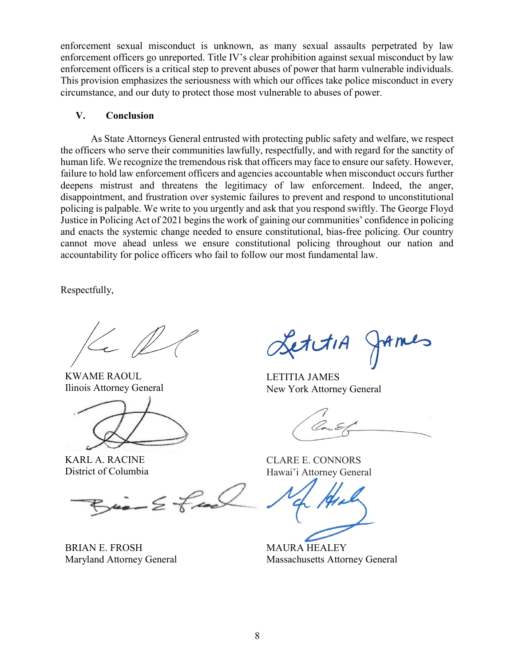enforcement sexual misconduct is unknown, as many sexual assaults perpetrated by law enforcement officers go unreported. Title IV's clear prohibition against sexual misconduct by law enforcement officers is a critical step to prevent abuses of power that harm vulnerable individuals. This provision emphasizes the seriousness with which our offices take police misconduct in every circumstance, and our duty to protect those most vulnerable to abuses of power.

#### V. Conclusion

As State Attorneys General entrusted with protecting public safety and welfare, we respect the officers who serve their communities lawfully, respectfully, and with regard for the sanctity of human life. We recognize the tremendous risk that officers may face to ensure our safety. However, failure to hold law enforcement officers and agencies accountable when misconduct occurs further deepens mistrust and threatens the legitimacy of law enforcement. Indeed, the anger, disappointment, and frustration over systemic failures to prevent and respond to unconstitutional policing is palpable. We write to you urgently and ask that you respond swiftly. The George Floyd Justice in Policing Act of 2021 begins the work of gaining our communities' confidence in policing and enacts the systemic change needed to ensure constitutional, bias-free policing. Our country cannot move ahead unless we ensure constitutional policing throughout our nation and accountability for police officers who fail to follow our most fundamental law.

Respectfully,

KWAME RAOUL Ilinois Attorney General

KARL A. RACINE District of Columbia

 $Bia-2$  feel

BRIAN E. FROSH Maryland Attorney General

etitiA

LETITIA JAMES New York Attorney General

CLARE E. CONNORS Hawai'i Attorney General

MAURA HEALEY Massachusetts Attorney General